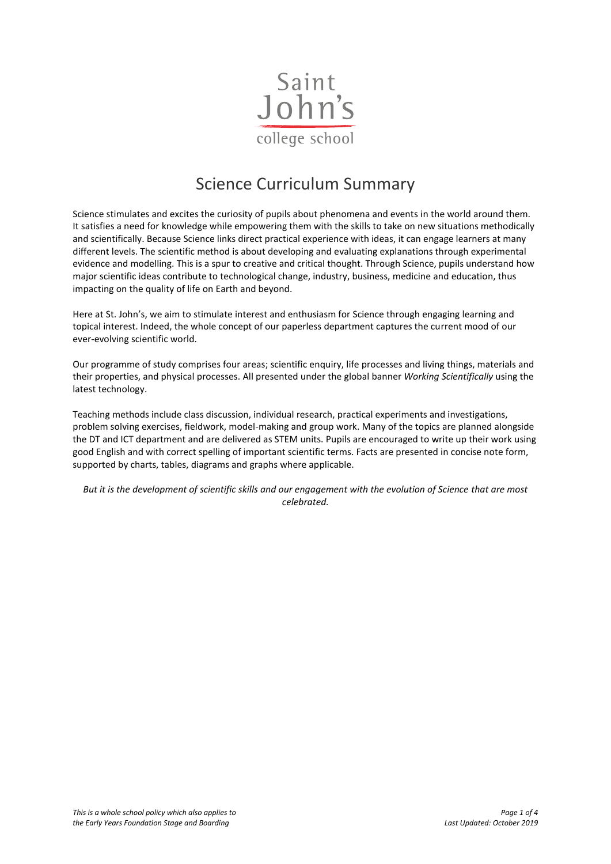

# Science Curriculum Summary

Science stimulates and excites the curiosity of pupils about phenomena and events in the world around them. It satisfies a need for knowledge while empowering them with the skills to take on new situations methodically and scientifically. Because Science links direct practical experience with ideas, it can engage learners at many different levels. The scientific method is about developing and evaluating explanations through experimental evidence and modelling. This is a spur to creative and critical thought. Through Science, pupils understand how major scientific ideas contribute to technological change, industry, business, medicine and education, thus impacting on the quality of life on Earth and beyond.

Here at St. John's, we aim to stimulate interest and enthusiasm for Science through engaging learning and topical interest. Indeed, the whole concept of our paperless department captures the current mood of our ever-evolving scientific world.

Our programme of study comprises four areas; scientific enquiry, life processes and living things, materials and their properties, and physical processes. All presented under the global banner *Working Scientifically* using the latest technology.

Teaching methods include class discussion, individual research, practical experiments and investigations, problem solving exercises, fieldwork, model-making and group work. Many of the topics are planned alongside the DT and ICT department and are delivered as STEM units. Pupils are encouraged to write up their work using good English and with correct spelling of important scientific terms. Facts are presented in concise note form, supported by charts, tables, diagrams and graphs where applicable.

*But it is the development of scientific skills and our engagement with the evolution of Science that are most celebrated.*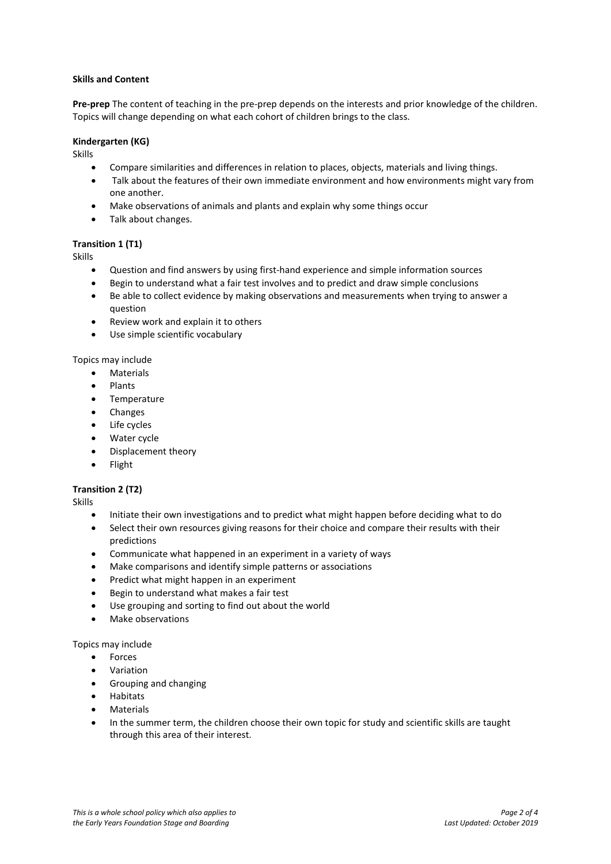#### **Skills and Content**

**Pre-prep** The content of teaching in the pre-prep depends on the interests and prior knowledge of the children. Topics will change depending on what each cohort of children brings to the class.

#### **Kindergarten (KG)**

Skills

- Compare similarities and differences in relation to places, objects, materials and living things.
- Talk about the features of their own immediate environment and how environments might vary from one another.
- Make observations of animals and plants and explain why some things occur
- Talk about changes.

# **Transition 1 (T1)**

Skills

- Question and find answers by using first-hand experience and simple information sources
- Begin to understand what a fair test involves and to predict and draw simple conclusions
- Be able to collect evidence by making observations and measurements when trying to answer a question
- Review work and explain it to others
- Use simple scientific vocabulary

Topics may include

- **•** Materials
- Plants
- **•** Temperature
- Changes
- Life cycles
- Water cycle
- Displacement theory
- Flight

# **Transition 2 (T2)**

Skills

- Initiate their own investigations and to predict what might happen before deciding what to do
- Select their own resources giving reasons for their choice and compare their results with their predictions
- Communicate what happened in an experiment in a variety of ways
- Make comparisons and identify simple patterns or associations
- Predict what might happen in an experiment
- Begin to understand what makes a fair test
- Use grouping and sorting to find out about the world
- Make observations

Topics may include

- Forces
- Variation
- Grouping and changing
- Habitats
- Materials
- In the summer term, the children choose their own topic for study and scientific skills are taught through this area of their interest.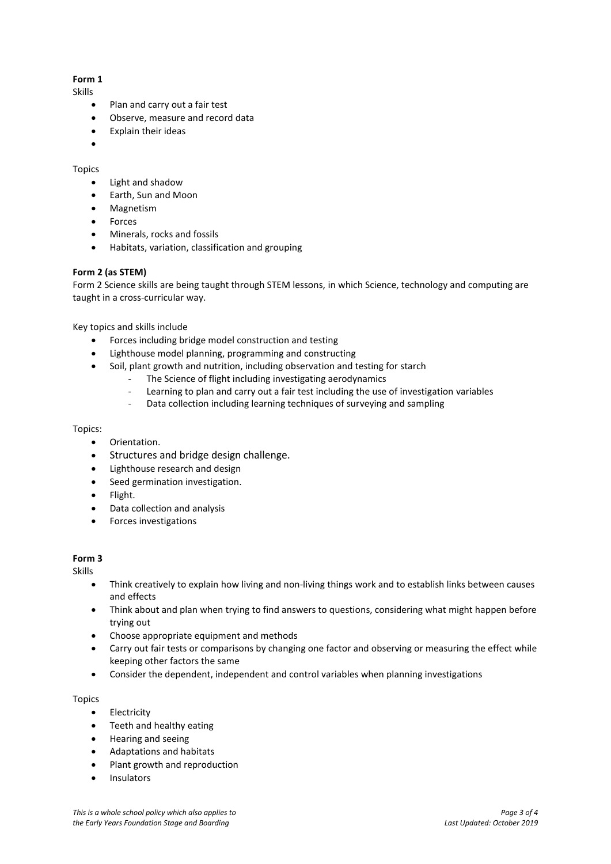# **Form 1**

Skills

- Plan and carry out a fair test
- Observe, measure and record data
- Explain their ideas
- $\bullet$

#### Topics

- Light and shadow
- Earth, Sun and Moon
- Magnetism
- Forces
- Minerals, rocks and fossils
- Habitats, variation, classification and grouping

# **Form 2 (as STEM)**

Form 2 Science skills are being taught through STEM lessons, in which Science, technology and computing are taught in a cross-curricular way.

Key topics and skills include

- Forces including bridge model construction and testing
- Lighthouse model planning, programming and constructing
- Soil, plant growth and nutrition, including observation and testing for starch
	- The Science of flight including investigating aerodynamics
	- Learning to plan and carry out a fair test including the use of investigation variables
	- Data collection including learning techniques of surveying and sampling

#### Topics:

- Orientation.
- Structures and bridge design challenge.
- Lighthouse research and design
- Seed germination investigation.
- Flight.
- Data collection and analysis
- Forces investigations

# **Form 3**

Skills

- Think creatively to explain how living and non-living things work and to establish links between causes and effects
- Think about and plan when trying to find answers to questions, considering what might happen before trying out
- Choose appropriate equipment and methods
- Carry out fair tests or comparisons by changing one factor and observing or measuring the effect while keeping other factors the same
- Consider the dependent, independent and control variables when planning investigations

#### Topics

- **•** Electricity
- Teeth and healthy eating
- Hearing and seeing
- Adaptations and habitats
- Plant growth and reproduction
- Insulators